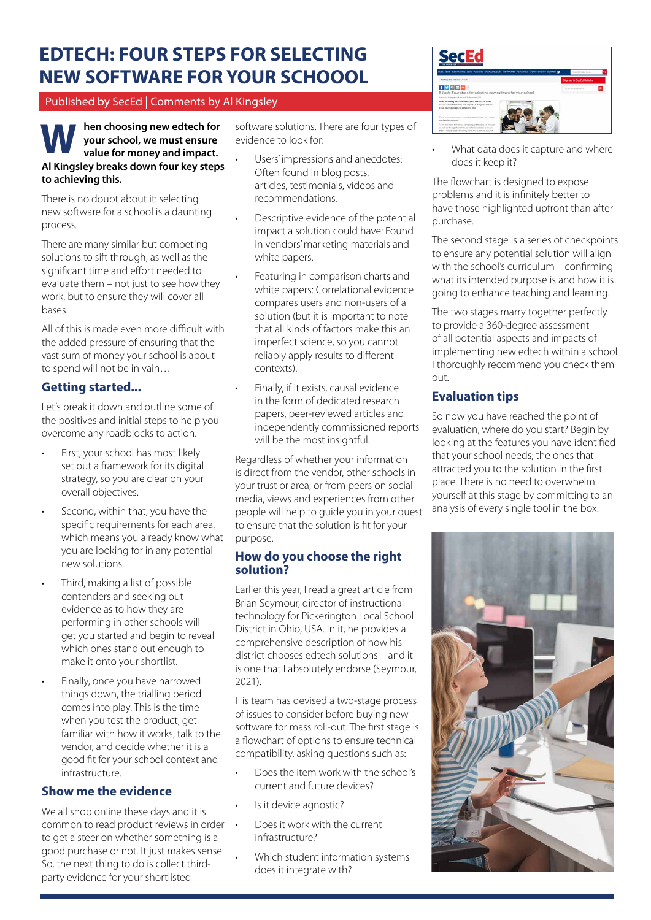# **EDTECH: FOUR STEPS FOR SELECTING NEW SOFTWARE FOR YOUR SCHOOOL**

## Published by SecEd | Comments by Al Kingsley

**hen choosing new edtech for your school, we must ensure value for money and impact. W Al Kingsley breaks down four key steps to achieving this.**

There is no doubt about it: selecting new software for a school is a daunting process.

There are many similar but competing solutions to sift through, as well as the significant time and effort needed to evaluate them – not just to see how they work, but to ensure they will cover all bases.

All of this is made even more difficult with the added pressure of ensuring that the vast sum of money your school is about to spend will not be in vain…

# **Getting started...**

Let's break it down and outline some of the positives and initial steps to help you overcome any roadblocks to action.

- First, your school has most likely set out a framework for its digital strategy, so you are clear on your overall objectives.
- Second, within that, you have the specific requirements for each area, which means you already know what you are looking for in any potential new solutions.
- Third, making a list of possible contenders and seeking out evidence as to how they are performing in other schools will get you started and begin to reveal which ones stand out enough to make it onto your shortlist.
- Finally, once you have narrowed things down, the trialling period comes into play. This is the time when you test the product, get familiar with how it works, talk to the vendor, and decide whether it is a good fit for your school context and infrastructure.

## **Show me the evidence**

We all shop online these days and it is common to read product reviews in order to get a steer on whether something is a good purchase or not. It just makes sense. So, the next thing to do is collect thirdparty evidence for your shortlisted

software solutions. There are four types of evidence to look for:

- Users' impressions and anecdotes: Often found in blog posts, articles, testimonials, videos and recommendations.
- Descriptive evidence of the potential impact a solution could have: Found in vendors' marketing materials and white papers.
- Featuring in comparison charts and white papers: Correlational evidence compares users and non-users of a solution (but it is important to note that all kinds of factors make this an imperfect science, so you cannot reliably apply results to different contexts).
- Finally, if it exists, causal evidence in the form of dedicated research papers, peer-reviewed articles and independently commissioned reports will be the most insightful.

Regardless of whether your information is direct from the vendor, other schools in your trust or area, or from peers on social media, views and experiences from other people will help to guide you in your quest to ensure that the solution is fit for your purpose.

#### **How do you choose the right solution?**

Earlier this year, I read a great article from Brian Seymour, director of instructional technology for Pickerington Local School District in Ohio, USA. In it, he provides a comprehensive description of how his district chooses edtech solutions – and it is one that I absolutely endorse (Seymour, 2021).

His team has devised a two-stage process of issues to consider before buying new software for mass roll-out. The first stage is a flowchart of options to ensure technical compatibility, asking questions such as:

- Does the item work with the school's current and future devices?
- Is it device agnostic?
- Does it work with the current infrastructure?
- Which student information systems does it integrate with?



What data does it capture and where does it keep it?

The flowchart is designed to expose problems and it is infinitely better to have those highlighted upfront than after purchase.

The second stage is a series of checkpoints to ensure any potential solution will align with the school's curriculum – confirming what its intended purpose is and how it is going to enhance teaching and learning.

The two stages marry together perfectly to provide a 360-degree assessment of all potential aspects and impacts of implementing new edtech within a school. I thoroughly recommend you check them out.

# **Evaluation tips**

So now you have reached the point of evaluation, where do you start? Begin by looking at the features you have identified that your school needs; the ones that attracted you to the solution in the first place. There is no need to overwhelm yourself at this stage by committing to an analysis of every single tool in the box.